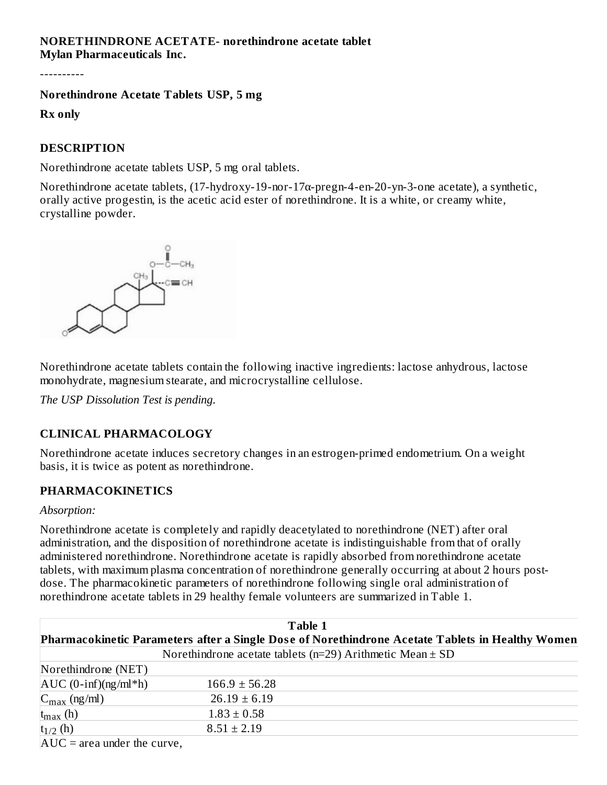#### **NORETHINDRONE ACETATE- norethindrone acetate tablet Mylan Pharmaceuticals Inc.**

----------

#### **Norethindrone Acetate Tablets USP, 5 mg**

**Rx only**

#### **DESCRIPTION**

Norethindrone acetate tablets USP, 5 mg oral tablets.

Norethindrone acetate tablets, (17-hydroxy-19-nor-17α-pregn-4-en-20-yn-3-one acetate), a synthetic, orally active progestin, is the acetic acid ester of norethindrone. It is a white, or creamy white, crystalline powder.



Norethindrone acetate tablets contain the following inactive ingredients: lactose anhydrous, lactose monohydrate, magnesium stearate, and microcrystalline cellulose.

*The USP Dissolution Test is pending.*

#### **CLINICAL PHARMACOLOGY**

Norethindrone acetate induces secretory changes in an estrogen-primed endometrium. On a weight basis, it is twice as potent as norethindrone.

#### **PHARMACOKINETICS**

#### *Absorption:*

Norethindrone acetate is completely and rapidly deacetylated to norethindrone (NET) after oral administration, and the disposition of norethindrone acetate is indistinguishable from that of orally administered norethindrone. Norethindrone acetate is rapidly absorbed from norethindrone acetate tablets, with maximum plasma concentration of norethindrone generally occurring at about 2 hours postdose. The pharmacokinetic parameters of norethindrone following single oral administration of norethindrone acetate tablets in 29 healthy female volunteers are summarized in Table 1.

| Table 1<br>Pharmacokinetic Parameters after a Single Dose of Norethindrone Acetate Tablets in Healthy Women |                   |  |  |  |  |  |
|-------------------------------------------------------------------------------------------------------------|-------------------|--|--|--|--|--|
|                                                                                                             |                   |  |  |  |  |  |
| Norethindrone (NET)                                                                                         |                   |  |  |  |  |  |
| $AUC$ (0-inf)(ng/ml*h)                                                                                      | $166.9 \pm 56.28$ |  |  |  |  |  |
| $C_{\text{max}}$ (ng/ml)                                                                                    | $26.19 \pm 6.19$  |  |  |  |  |  |
| $t_{max}$ (h)                                                                                               | $1.83 \pm 0.58$   |  |  |  |  |  |
| $t_{1/2}$ (h)                                                                                               | $8.51 \pm 2.19$   |  |  |  |  |  |
| $AUC = area under the curve,$                                                                               |                   |  |  |  |  |  |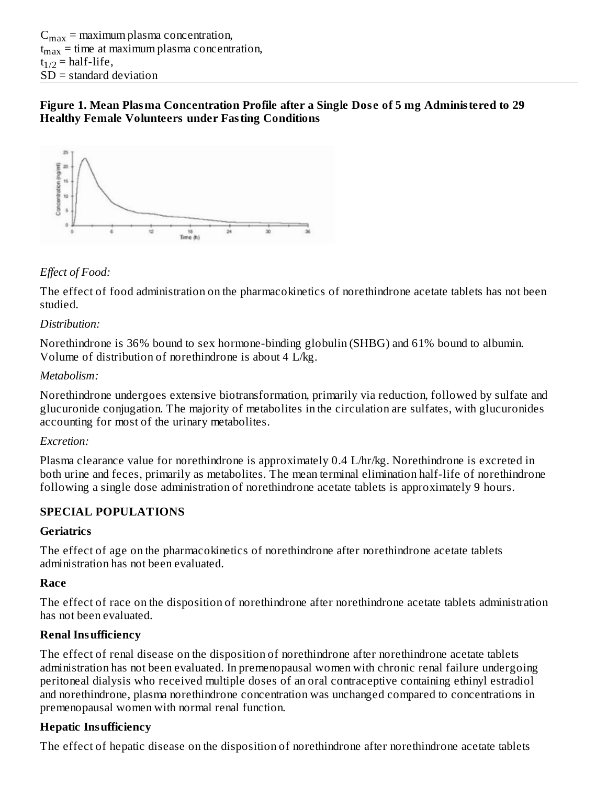#### **Figure 1. Mean Plasma Concentration Profile after a Single Dos e of 5 mg Administered to 29 Healthy Female Volunteers under Fasting Conditions**



# *Effect of Food:*

The effect of food administration on the pharmacokinetics of norethindrone acetate tablets has not been studied.

#### *Distribution:*

Norethindrone is 36% bound to sex hormone-binding globulin (SHBG) and 61% bound to albumin. Volume of distribution of norethindrone is about 4 L/kg.

#### *Metabolism:*

Norethindrone undergoes extensive biotransformation, primarily via reduction, followed by sulfate and glucuronide conjugation. The majority of metabolites in the circulation are sulfates, with glucuronides accounting for most of the urinary metabolites.

#### *Excretion:*

Plasma clearance value for norethindrone is approximately 0.4 L/hr/kg. Norethindrone is excreted in both urine and feces, primarily as metabolites. The mean terminal elimination half-life of norethindrone following a single dose administration of norethindrone acetate tablets is approximately 9 hours.

### **SPECIAL POPULATIONS**

### **Geriatrics**

The effect of age on the pharmacokinetics of norethindrone after norethindrone acetate tablets administration has not been evaluated.

### **Race**

The effect of race on the disposition of norethindrone after norethindrone acetate tablets administration has not been evaluated.

### **Renal Insufficiency**

The effect of renal disease on the disposition of norethindrone after norethindrone acetate tablets administration has not been evaluated. In premenopausal women with chronic renal failure undergoing peritoneal dialysis who received multiple doses of an oral contraceptive containing ethinyl estradiol and norethindrone, plasma norethindrone concentration was unchanged compared to concentrations in premenopausal women with normal renal function.

### **Hepatic Insufficiency**

The effect of hepatic disease on the disposition of norethindrone after norethindrone acetate tablets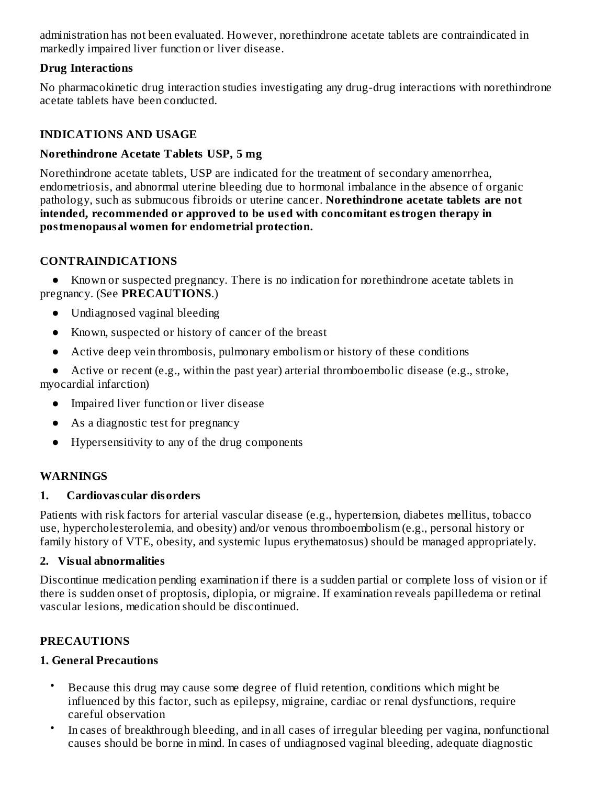administration has not been evaluated. However, norethindrone acetate tablets are contraindicated in markedly impaired liver function or liver disease.

## **Drug Interactions**

No pharmacokinetic drug interaction studies investigating any drug-drug interactions with norethindrone acetate tablets have been conducted.

# **INDICATIONS AND USAGE**

## **Norethindrone Acetate Tablets USP, 5 mg**

Norethindrone acetate tablets, USP are indicated for the treatment of secondary amenorrhea, endometriosis, and abnormal uterine bleeding due to hormonal imbalance in the absence of organic pathology, such as submucous fibroids or uterine cancer. **Norethindrone acetate tablets are not intended, recommended or approved to be us ed with concomitant estrogen therapy in postmenopausal women for endometrial protection.**

# **CONTRAINDICATIONS**

● Known or suspected pregnancy. There is no indication for norethindrone acetate tablets in pregnancy. (See **PRECAUTIONS**.)

- Undiagnosed vaginal bleeding
- Known, suspected or history of cancer of the breast
- Active deep vein thrombosis, pulmonary embolism or history of these conditions
- Active or recent (e.g., within the past year) arterial thromboembolic disease (e.g., stroke, myocardial infarction)
	- Impaired liver function or liver disease
	- As a diagnostic test for pregnancy
	- Hypersensitivity to any of the drug components

### **WARNINGS**

### **1. Cardiovas cular disorders**

Patients with risk factors for arterial vascular disease (e.g., hypertension, diabetes mellitus, tobacco use, hypercholesterolemia, and obesity) and/or venous thromboembolism (e.g., personal history or family history of VTE, obesity, and systemic lupus erythematosus) should be managed appropriately.

### **2. Visual abnormalities**

Discontinue medication pending examination if there is a sudden partial or complete loss of vision or if there is sudden onset of proptosis, diplopia, or migraine. If examination reveals papilledema or retinal vascular lesions, medication should be discontinued.

# **PRECAUTIONS**

### **1. General Precautions**

- Because this drug may cause some degree of fluid retention, conditions which might be influenced by this factor, such as epilepsy, migraine, cardiac or renal dysfunctions, require careful observation
- In cases of breakthrough bleeding, and in all cases of irregular bleeding per vagina, nonfunctional causes should be borne in mind. In cases of undiagnosed vaginal bleeding, adequate diagnostic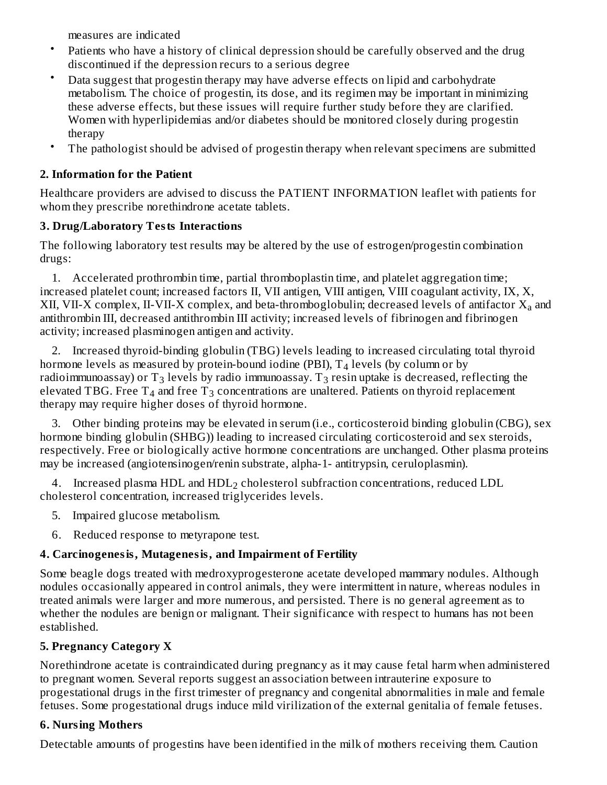measures are indicated

- Patients who have a history of clinical depression should be carefully observed and the drug discontinued if the depression recurs to a serious degree
- Data suggest that progestin therapy may have adverse effects on lipid and carbohydrate metabolism. The choice of progestin, its dose, and its regimen may be important in minimizing these adverse effects, but these issues will require further study before they are clarified. Women with hyperlipidemias and/or diabetes should be monitored closely during progestin therapy
- The pathologist should be advised of progestin therapy when relevant specimens are submitted

# **2. Information for the Patient**

Healthcare providers are advised to discuss the PATIENT INFORMATION leaflet with patients for whom they prescribe norethindrone acetate tablets.

# **3. Drug/Laboratory Tests Interactions**

The following laboratory test results may be altered by the use of estrogen/progestin combination drugs:

1. Accelerated prothrombin time, partial thromboplastin time, and platelet aggregation time; increased platelet count; increased factors II, VII antigen, VIII antigen, VIII coagulant activity, IX, X, XII, VII-X complex, II-VII-X complex, and beta-thromboglobulin; decreased levels of antifactor  $\mathbf{X}_{\mathbf{a}}$  and antithrombin III, decreased antithrombin III activity; increased levels of fibrinogen and fibrinogen activity; increased plasminogen antigen and activity.

2. Increased thyroid-binding globulin (TBG) levels leading to increased circulating total thyroid hormone levels as measured by protein-bound iodine (PBI),  $T_{\rm 4}$  levels (by column or by radioimmunoassay) or  ${\rm T}_3$  levels by radio immunoassay.  ${\rm T}_3$  resin uptake is decreased, reflecting the elevated TBG. Free  $\text{T}_4$  and free  $\text{T}_3$  concentrations are unaltered. Patients on thyroid replacement therapy may require higher doses of thyroid hormone.

3. Other binding proteins may be elevated in serum (i.e., corticosteroid binding globulin (CBG), sex hormone binding globulin (SHBG)) leading to increased circulating corticosteroid and sex steroids, respectively. Free or biologically active hormone concentrations are unchanged. Other plasma proteins may be increased (angiotensinogen/renin substrate, alpha-1- antitrypsin, ceruloplasmin).

4. Increased plasma  $HDL$  and  $HDL<sub>2</sub>$  cholesterol subfraction concentrations, reduced  $LDL$ cholesterol concentration, increased triglycerides levels.

- 5. Impaired glucose metabolism.
- 6. Reduced response to metyrapone test.

# **4. Carcinogenesis, Mutagenesis, and Impairment of Fertility**

Some beagle dogs treated with medroxyprogesterone acetate developed mammary nodules. Although nodules occasionally appeared in control animals, they were intermittent in nature, whereas nodules in treated animals were larger and more numerous, and persisted. There is no general agreement as to whether the nodules are benign or malignant. Their significance with respect to humans has not been established.

# **5. Pregnancy Category X**

Norethindrone acetate is contraindicated during pregnancy as it may cause fetal harm when administered to pregnant women. Several reports suggest an association between intrauterine exposure to progestational drugs in the first trimester of pregnancy and congenital abnormalities in male and female fetuses. Some progestational drugs induce mild virilization of the external genitalia of female fetuses.

# **6. Nursing Mothers**

Detectable amounts of progestins have been identified in the milk of mothers receiving them. Caution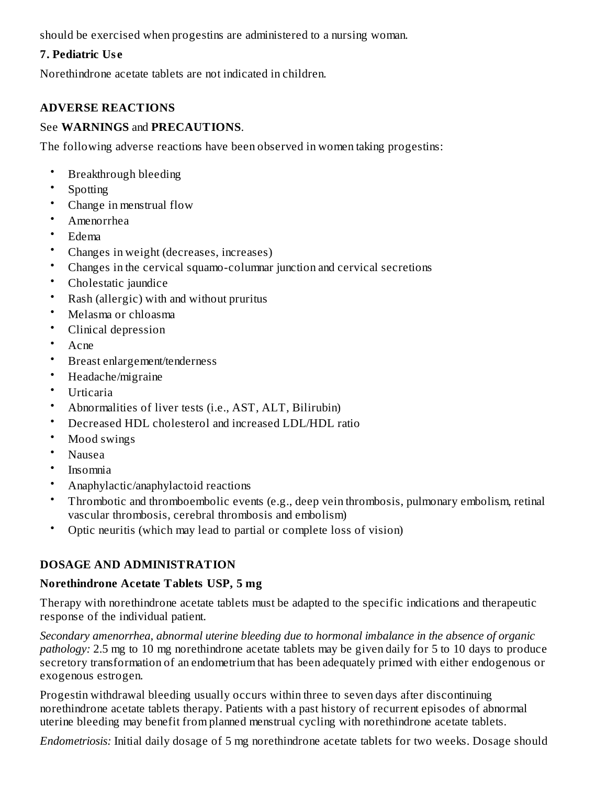should be exercised when progestins are administered to a nursing woman.

## **7. Pediatric Us e**

Norethindrone acetate tablets are not indicated in children.

## **ADVERSE REACTIONS**

#### See **WARNINGS** and **PRECAUTIONS**.

The following adverse reactions have been observed in women taking progestins:

- Breakthrough bleeding
- Spotting
- Change in menstrual flow
- Amenorrhea
- Edema
- Changes in weight (decreases, increases)
- Changes in the cervical squamo-columnar junction and cervical secretions
- Cholestatic jaundice
- Rash (allergic) with and without pruritus
- Melasma or chloasma
- Clinical depression
- Acne
- Breast enlargement/tenderness
- Headache/migraine
- Urticaria
- Abnormalities of liver tests (i.e., AST, ALT, Bilirubin)
- Decreased HDL cholesterol and increased LDL/HDL ratio
- Mood swings
- Nausea
- Insomnia
- Anaphylactic/anaphylactoid reactions
- Thrombotic and thromboembolic events (e.g., deep vein thrombosis, pulmonary embolism, retinal vascular thrombosis, cerebral thrombosis and embolism)
- Optic neuritis (which may lead to partial or complete loss of vision)

### **DOSAGE AND ADMINISTRATION**

#### **Norethindrone Acetate Tablets USP, 5 mg**

Therapy with norethindrone acetate tablets must be adapted to the specific indications and therapeutic response of the individual patient.

*Secondary amenorrhea, abnormal uterine bleeding due to hormonal imbalance in the absence of organic pathology:* 2.5 mg to 10 mg norethindrone acetate tablets may be given daily for 5 to 10 days to produce secretory transformation of an endometrium that has been adequately primed with either endogenous or exogenous estrogen.

Progestin withdrawal bleeding usually occurs within three to seven days after discontinuing norethindrone acetate tablets therapy. Patients with a past history of recurrent episodes of abnormal uterine bleeding may benefit from planned menstrual cycling with norethindrone acetate tablets.

*Endometriosis:* Initial daily dosage of 5 mg norethindrone acetate tablets for two weeks. Dosage should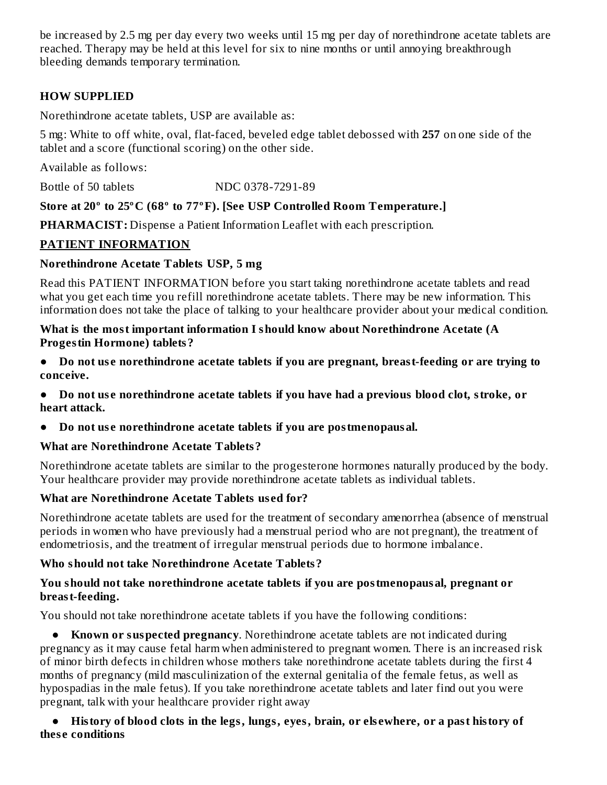be increased by 2.5 mg per day every two weeks until 15 mg per day of norethindrone acetate tablets are reached. Therapy may be held at this level for six to nine months or until annoying breakthrough bleeding demands temporary termination.

## **HOW SUPPLIED**

Norethindrone acetate tablets, USP are available as:

5 mg: White to off white, oval, flat-faced, beveled edge tablet debossed with **257** on one side of the tablet and a score (functional scoring) on the other side.

Available as follows:

Bottle of 50 tablets NDC 0378-7291-89

### **Store at 20º to 25ºC (68º to 77ºF). [See USP Controlled Room Temperature.]**

**PHARMACIST:** Dispense a Patient Information Leaflet with each prescription.

### **PATIENT INFORMATION**

#### **Norethindrone Acetate Tablets USP, 5 mg**

Read this PATIENT INFORMATION before you start taking norethindrone acetate tablets and read what you get each time you refill norethindrone acetate tablets. There may be new information. This information does not take the place of talking to your healthcare provider about your medical condition.

#### **What is the most important information I should know about Norethindrone Acetate (A Progestin Hormone) tablets?**

- **● Do not us e norethindrone acetate tablets if you are pregnant, breast-feeding or are trying to conceive.**
- **● Do not us e norethindrone acetate tablets if you have had a previous blood clot, stroke, or heart attack.**
- **● Do not us e norethindrone acetate tablets if you are postmenopausal.**

### **What are Norethindrone Acetate Tablets?**

Norethindrone acetate tablets are similar to the progesterone hormones naturally produced by the body. Your healthcare provider may provide norethindrone acetate tablets as individual tablets.

### **What are Norethindrone Acetate Tablets us ed for?**

Norethindrone acetate tablets are used for the treatment of secondary amenorrhea (absence of menstrual periods in women who have previously had a menstrual period who are not pregnant), the treatment of endometriosis, and the treatment of irregular menstrual periods due to hormone imbalance.

### **Who should not take Norethindrone Acetate Tablets?**

#### **You should not take norethindrone acetate tablets if you are postmenopausal, pregnant or breast-feeding.**

You should not take norethindrone acetate tablets if you have the following conditions:

**● Known or suspected pregnancy**. Norethindrone acetate tablets are not indicated during pregnancy as it may cause fetal harm when administered to pregnant women. There is an increased risk of minor birth defects in children whose mothers take norethindrone acetate tablets during the first 4 months of pregnancy (mild masculinization of the external genitalia of the female fetus, as well as hypospadias in the male fetus). If you take norethindrone acetate tablets and later find out you were pregnant, talk with your healthcare provider right away

#### • History of blood clots in the legs, lungs, eves, brain, or elsewhere, or a past history of **thes e conditions**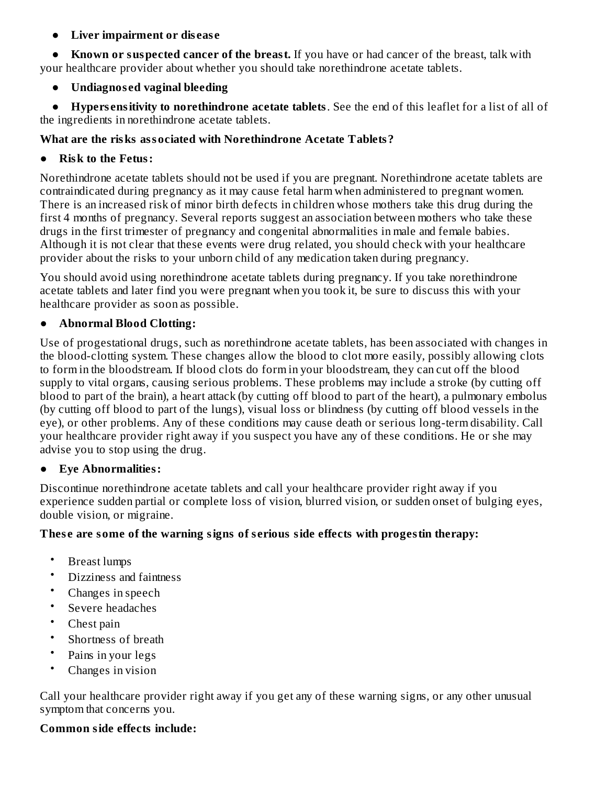### **● Liver impairment or dis eas e**

**● Known or suspected cancer of the breast.** If you have or had cancer of the breast, talk with your healthcare provider about whether you should take norethindrone acetate tablets.

**● Undiagnos ed vaginal bleeding**

**● Hypers ensitivity to norethindrone acetate tablets**. See the end of this leaflet for a list of all of the ingredients in norethindrone acetate tablets.

## **What are the risks associated with Norethindrone Acetate Tablets?**

## **● Risk to the Fetus:**

Norethindrone acetate tablets should not be used if you are pregnant. Norethindrone acetate tablets are contraindicated during pregnancy as it may cause fetal harm when administered to pregnant women. There is an increased risk of minor birth defects in children whose mothers take this drug during the first 4 months of pregnancy. Several reports suggest an association between mothers who take these drugs in the first trimester of pregnancy and congenital abnormalities in male and female babies. Although it is not clear that these events were drug related, you should check with your healthcare provider about the risks to your unborn child of any medication taken during pregnancy.

You should avoid using norethindrone acetate tablets during pregnancy. If you take norethindrone acetate tablets and later find you were pregnant when you took it, be sure to discuss this with your healthcare provider as soon as possible.

## **● Abnormal Blood Clotting:**

Use of progestational drugs, such as norethindrone acetate tablets, has been associated with changes in the blood-clotting system. These changes allow the blood to clot more easily, possibly allowing clots to form in the bloodstream. If blood clots do form in your bloodstream, they can cut off the blood supply to vital organs, causing serious problems. These problems may include a stroke (by cutting off blood to part of the brain), a heart attack (by cutting off blood to part of the heart), a pulmonary embolus (by cutting off blood to part of the lungs), visual loss or blindness (by cutting off blood vessels in the eye), or other problems. Any of these conditions may cause death or serious long-term disability. Call your healthcare provider right away if you suspect you have any of these conditions. He or she may advise you to stop using the drug.

### **● Eye Abnormalities:**

Discontinue norethindrone acetate tablets and call your healthcare provider right away if you experience sudden partial or complete loss of vision, blurred vision, or sudden onset of bulging eyes, double vision, or migraine.

# **Thes e are some of the warning signs of s erious side effects with progestin therapy:**

- Breast lumps
- Dizziness and faintness
- Changes in speech
- Severe headaches
- Chest pain
- Shortness of breath
- Pains in your legs
- Changes in vision

Call your healthcare provider right away if you get any of these warning signs, or any other unusual symptom that concerns you.

# **Common side effects include:**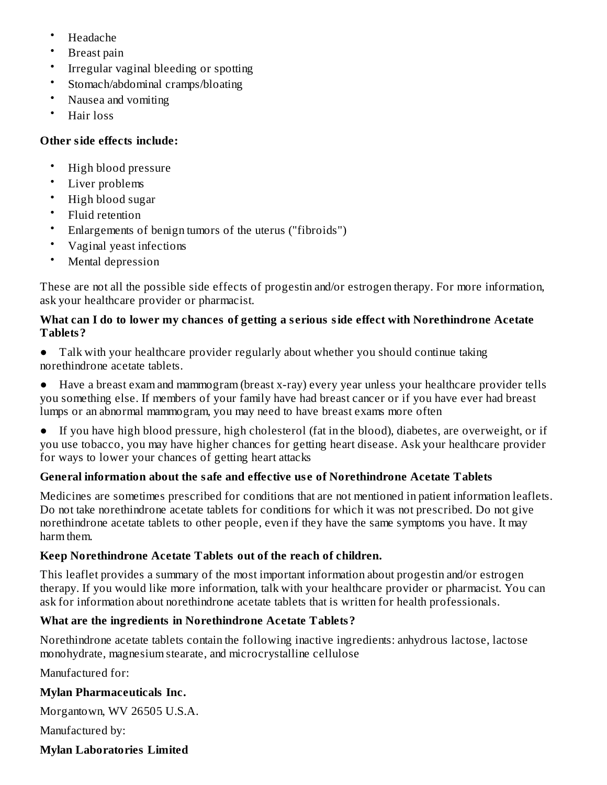- Headache
- Breast pain
- Irregular vaginal bleeding or spotting
- Stomach/abdominal cramps/bloating
- Nausea and vomiting
- Hair loss

## **Other side effects include:**

- High blood pressure
- Liver problems
- High blood sugar
- Fluid retention
- Enlargements of benign tumors of the uterus ("fibroids")
- Vaginal yeast infections
- Mental depression

These are not all the possible side effects of progestin and/or estrogen therapy. For more information, ask your healthcare provider or pharmacist.

## **What can I do to lower my chances of getting a s erious side effect with Norethindrone Acetate Tablets?**

**●** Talk with your healthcare provider regularly about whether you should continue taking norethindrone acetate tablets.

**●** Have a breast exam and mammogram (breast x-ray) every year unless your healthcare provider tells you something else. If members of your family have had breast cancer or if you have ever had breast lumps or an abnormal mammogram, you may need to have breast exams more often

**●** If you have high blood pressure, high cholesterol (fat in the blood), diabetes, are overweight, or if you use tobacco, you may have higher chances for getting heart disease. Ask your healthcare provider for ways to lower your chances of getting heart attacks

# **General information about the safe and effective us e of Norethindrone Acetate Tablets**

Medicines are sometimes prescribed for conditions that are not mentioned in patient information leaflets. Do not take norethindrone acetate tablets for conditions for which it was not prescribed. Do not give norethindrone acetate tablets to other people, even if they have the same symptoms you have. It may harm them.

# **Keep Norethindrone Acetate Tablets out of the reach of children.**

This leaflet provides a summary of the most important information about progestin and/or estrogen therapy. If you would like more information, talk with your healthcare provider or pharmacist. You can ask for information about norethindrone acetate tablets that is written for health professionals.

# **What are the ingredients in Norethindrone Acetate Tablets?**

Norethindrone acetate tablets contain the following inactive ingredients: anhydrous lactose, lactose monohydrate, magnesium stearate, and microcrystalline cellulose

Manufactured for:

# **Mylan Pharmaceuticals Inc.**

Morgantown, WV 26505 U.S.A.

Manufactured by:

# **Mylan Laboratories Limited**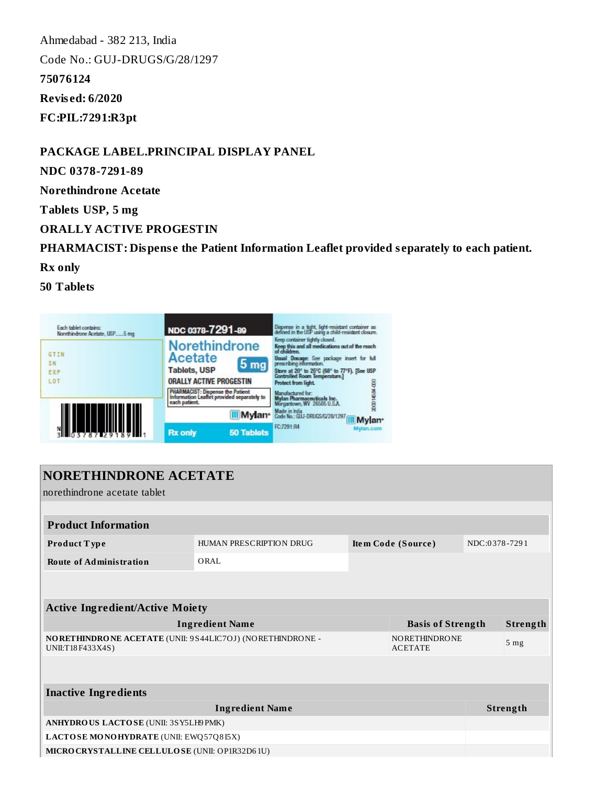Ahmedabad - 382 213, India Code No.: GUJ-DRUGS/G/28/1297 **75076124 Revis ed: 6/2020 FC:PIL:7291:R3pt**

**PACKAGE LABEL.PRINCIPAL DISPLAY PANEL**

**NDC 0378-7291-89**

**Norethindrone Acetate**

**Tablets USP, 5 mg**

**ORALLY ACTIVE PROGESTIN**

**PHARMACIST: Dispens e the Patient Information Leaflet provided s eparately to each patient.**

**Rx only**

**50 Tablets**



| <b>NORETHINDRONE ACETATE</b>                                                  |                         |                    |                                        |               |                 |  |
|-------------------------------------------------------------------------------|-------------------------|--------------------|----------------------------------------|---------------|-----------------|--|
| norethindrone acetate tablet                                                  |                         |                    |                                        |               |                 |  |
|                                                                               |                         |                    |                                        |               |                 |  |
| <b>Product Information</b>                                                    |                         |                    |                                        |               |                 |  |
| Product Type                                                                  | HUMAN PRESCRIPTION DRUG | Item Code (Source) |                                        | NDC:0378-7291 |                 |  |
| <b>Route of Administration</b>                                                | ORAL                    |                    |                                        |               |                 |  |
|                                                                               |                         |                    |                                        |               |                 |  |
|                                                                               |                         |                    |                                        |               |                 |  |
| <b>Active Ingredient/Active Moiety</b>                                        |                         |                    |                                        |               |                 |  |
| <b>Ingredient Name</b>                                                        |                         |                    | <b>Basis of Strength</b>               |               | Strength        |  |
| NORETHINDRONE ACETATE (UNII: 9S44LIC7OJ) (NORETHINDRONE -<br>UNII:T18F433X4S) |                         |                    | <b>NORETHINDRONE</b><br><b>ACETATE</b> |               | 5 <sub>mg</sub> |  |
|                                                                               |                         |                    |                                        |               |                 |  |
|                                                                               |                         |                    |                                        |               |                 |  |
| <b>Inactive Ingredients</b>                                                   |                         |                    |                                        |               |                 |  |
| <b>Ingredient Name</b>                                                        |                         |                    |                                        |               | Strength        |  |
| ANHYDROUS LACTOSE (UNII: 3SY5LH9PMK)                                          |                         |                    |                                        |               |                 |  |
| LACTOSE MONOHYDRATE (UNII: EWQ57Q8I5X)                                        |                         |                    |                                        |               |                 |  |
| MICROCRYSTALLINE CELLULOSE (UNII: OP1R32D61U)                                 |                         |                    |                                        |               |                 |  |